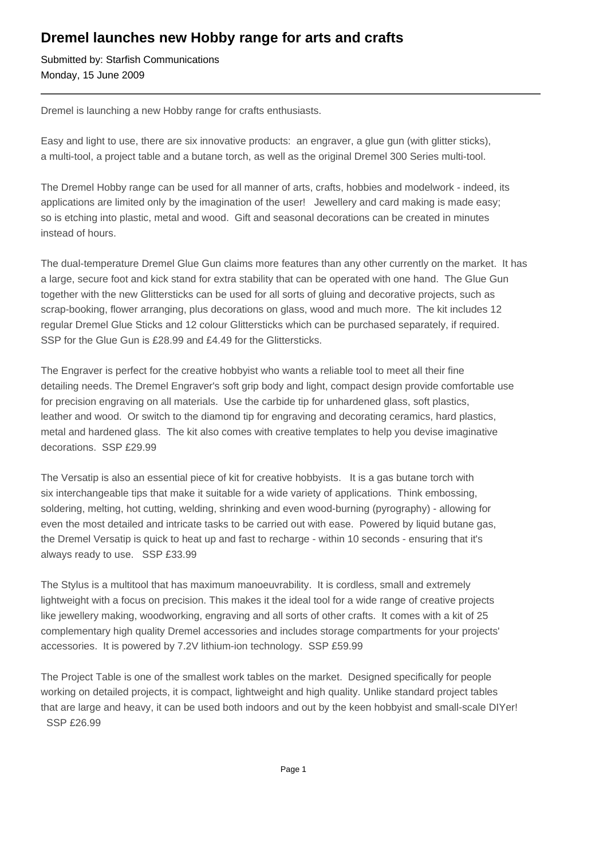## **Dremel launches new Hobby range for arts and crafts**

Submitted by: Starfish Communications Monday, 15 June 2009

Dremel is launching a new Hobby range for crafts enthusiasts.

Easy and light to use, there are six innovative products: an engraver, a glue gun (with glitter sticks), a multi-tool, a project table and a butane torch, as well as the original Dremel 300 Series multi-tool.

The Dremel Hobby range can be used for all manner of arts, crafts, hobbies and modelwork - indeed, its applications are limited only by the imagination of the user! Jewellery and card making is made easy; so is etching into plastic, metal and wood. Gift and seasonal decorations can be created in minutes instead of hours.

The dual-temperature Dremel Glue Gun claims more features than any other currently on the market. It has a large, secure foot and kick stand for extra stability that can be operated with one hand. The Glue Gun together with the new Glittersticks can be used for all sorts of gluing and decorative projects, such as scrap-booking, flower arranging, plus decorations on glass, wood and much more. The kit includes 12 regular Dremel Glue Sticks and 12 colour Glittersticks which can be purchased separately, if required. SSP for the Glue Gun is £28.99 and £4.49 for the Glittersticks.

The Engraver is perfect for the creative hobbyist who wants a reliable tool to meet all their fine detailing needs. The Dremel Engraver's soft grip body and light, compact design provide comfortable use for precision engraving on all materials. Use the carbide tip for unhardened glass, soft plastics, leather and wood. Or switch to the diamond tip for engraving and decorating ceramics, hard plastics, metal and hardened glass. The kit also comes with creative templates to help you devise imaginative decorations. SSP £29.99

The Versatip is also an essential piece of kit for creative hobbyists. It is a gas butane torch with six interchangeable tips that make it suitable for a wide variety of applications. Think embossing, soldering, melting, hot cutting, welding, shrinking and even wood-burning (pyrography) - allowing for even the most detailed and intricate tasks to be carried out with ease. Powered by liquid butane gas, the Dremel Versatip is quick to heat up and fast to recharge - within 10 seconds - ensuring that it's always ready to use. SSP £33.99

The Stylus is a multitool that has maximum manoeuvrability. It is cordless, small and extremely lightweight with a focus on precision. This makes it the ideal tool for a wide range of creative projects like jewellery making, woodworking, engraving and all sorts of other crafts. It comes with a kit of 25 complementary high quality Dremel accessories and includes storage compartments for your projects' accessories. It is powered by 7.2V lithium-ion technology. SSP £59.99

The Project Table is one of the smallest work tables on the market. Designed specifically for people working on detailed projects, it is compact, lightweight and high quality. Unlike standard project tables that are large and heavy, it can be used both indoors and out by the keen hobbyist and small-scale DIYer! SSP £26.99